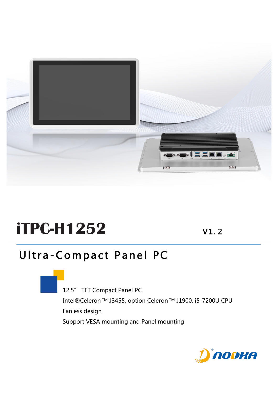

# **iTPC-H1252** V1.2

## Ultra -Compact Panel PC

 12.5" TFT Compact Panel PC Intel®Celeron TM J3455, option Celeron TM J1900, i5-7200U CPU Fanless design Support VESA mounting and Panel mounting

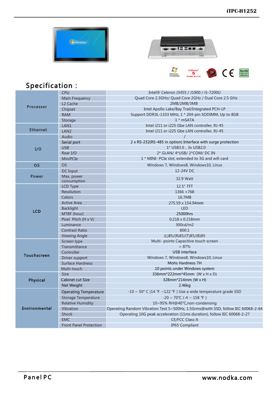





### Specification:

| <b>Processor</b> | <b>CPU</b>                    | Intel® Celeron J3455 / J1900 / i5-7200U                                          |  |
|------------------|-------------------------------|----------------------------------------------------------------------------------|--|
|                  | <b>Main Frequency</b>         | Quad Core 2.3GHz/ Quad Core 2GHz / Dual Core 2.5 GHz                             |  |
|                  | L <sub>2</sub> Cache          | 2MB/2MB/3MB                                                                      |  |
|                  | Chipset                       | Intel Apollo Lake/Bay Trail/Integrated PCH-LP                                    |  |
|                  | <b>RAM</b>                    | Support DDR3L-1333 MHz, 1 * 204-pin SODIMM, Up to 8GB                            |  |
|                  | Storage                       | $1 * mSATA$                                                                      |  |
|                  | LAN1                          | Intel i211 or i225 Gbe LAN controller, RJ-45                                     |  |
| <b>Ethernet</b>  | LAN <sub>2</sub>              | Intel i211 or i225 Gbe LAN controller, RJ-45                                     |  |
|                  | Audio                         |                                                                                  |  |
| I/O              | Serial port                   | 2 x RS-232(RS-485 in option) Interface with surge protection                     |  |
|                  | <b>USB</b>                    | 1* USB3.0, 3x USB2.0                                                             |  |
|                  | Rear I/O                      | 2* GLAN/ 4*USB/ 2*COM/ DC IN                                                     |  |
|                  | <b>MiniPCIe</b>               | 1 * MINI- PCIe slot, extended to 3G and wifi card                                |  |
| <b>OS</b>        | <b>OS</b>                     | Windows 7, Windows8, Windows10, Linux                                            |  |
|                  | DC Input                      | 12-24V DC                                                                        |  |
| <b>Power</b>     | Max. power<br>consumption     | 32.9 Watt                                                                        |  |
| <b>LCD</b>       | LCD Type                      | 12.5" TFT                                                                        |  |
|                  | <b>Resolution</b>             | 1366 × 768                                                                       |  |
|                  | Colors                        | 16.7MB                                                                           |  |
|                  | <b>Active Area</b>            | 275.59 x 154.94mm                                                                |  |
|                  | <b>Backlight</b>              | <b>LED</b>                                                                       |  |
|                  | MTBF (hour)                   | 25000hrs                                                                         |  |
|                  | Pixel Pitch (H x V)           | 0.218 x 0.218mm                                                                  |  |
|                  | Luminance                     | 300cd/m2                                                                         |  |
|                  | <b>Contrast Ratio</b>         | 800:1                                                                            |  |
|                  | Viewing Angle                 | (L)85/(R)85/(T)85/(B)85                                                          |  |
|                  | Screen type                   | Multi- points Capacitive touch screen                                            |  |
|                  | Transmittance                 | > 87%                                                                            |  |
| Touchscreen      | Controller                    | <b>USB</b> interface                                                             |  |
|                  | Driver support                | Windows 7, Windows8, Windows10, Linux                                            |  |
|                  | <b>Surface Hardness</b>       | Mohs Hardness 7H                                                                 |  |
|                  | Multi-touch                   | 10 points under Windows system                                                   |  |
|                  | <b>Size</b>                   | 336mm*222mm*45mm (W x H x D)                                                     |  |
| Physical         | Cabinet cut Size              | 328mm*214mm (W x H)                                                              |  |
|                  | Net Weight                    | 2.46kg                                                                           |  |
|                  | <b>Operating Temperature</b>  | $-10 \sim 50^{\circ}$ C (14 °F ~122 °F) Use a wide temperature grade SSD         |  |
|                  | <b>Storage Temperature</b>    | $-20 \sim 70^{\circ}$ C (-4 ~ 158 °F)                                            |  |
| Environmental    | <b>Relative Humidity</b>      | 10~95% RH@40°C,non-condensing                                                    |  |
|                  | Vibration                     | Operating Random Vibration Test 5~500Hz, 1.5Grms@with SSD, follow IEC 60068-2-64 |  |
|                  | <b>Shock</b>                  | Operating 10G peak acceleration (11ms duration), follow IEC 60068-2-27           |  |
|                  | <b>EMC</b>                    | <b>CE/FCC Class A</b>                                                            |  |
|                  | <b>Front Panel Protection</b> | <b>IP65 Compliant</b>                                                            |  |